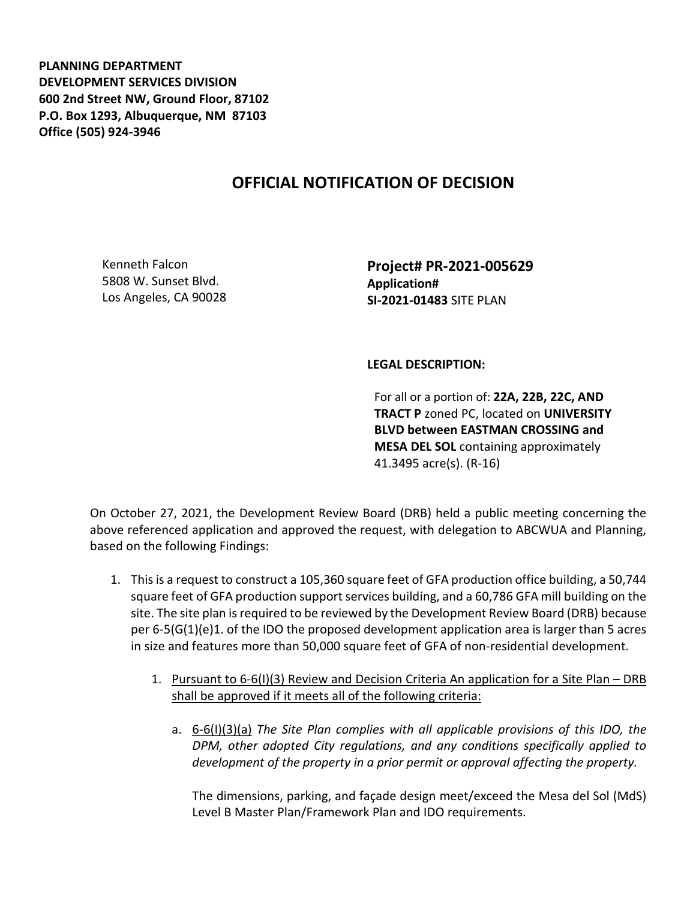**PLANNING DEPARTMENT DEVELOPMENT SERVICES DIVISION 600 2nd Street NW, Ground Floor, 87102 P.O. Box 1293, Albuquerque, NM 87103 Office (505) 924-3946** 

## **OFFICIAL NOTIFICATION OF DECISION**

Kenneth Falcon 5808 W. Sunset Blvd. Los Angeles, CA 90028 **Project# PR-2021-005629 Application# SI-2021-01483** SITE PLAN

## **LEGAL DESCRIPTION:**

For all or a portion of: **22A, 22B, 22C, AND TRACT P** zoned PC, located on **UNIVERSITY BLVD between EASTMAN CROSSING and MESA DEL SOL** containing approximately 41.3495 acre(s). (R-16)

On October 27, 2021, the Development Review Board (DRB) held a public meeting concerning the above referenced application and approved the request, with delegation to ABCWUA and Planning, based on the following Findings:

- 1. This is a request to construct a 105,360 square feet of GFA production office building, a 50,744 square feet of GFA production support services building, and a 60,786 GFA mill building on the site. The site plan is required to be reviewed by the Development Review Board (DRB) because per 6-5(G(1)(e)1. of the IDO the proposed development application area is larger than 5 acres in size and features more than 50,000 square feet of GFA of non-residential development.
	- 1. Pursuant to 6-6(I)(3) Review and Decision Criteria An application for a Site Plan DRB shall be approved if it meets all of the following criteria:
		- a. 6-6(I)(3)(a) *The Site Plan complies with all applicable provisions of this IDO, the DPM, other adopted City regulations, and any conditions specifically applied to development of the property in a prior permit or approval affecting the property.*

The dimensions, parking, and façade design meet/exceed the Mesa del Sol (MdS) Level B Master Plan/Framework Plan and IDO requirements.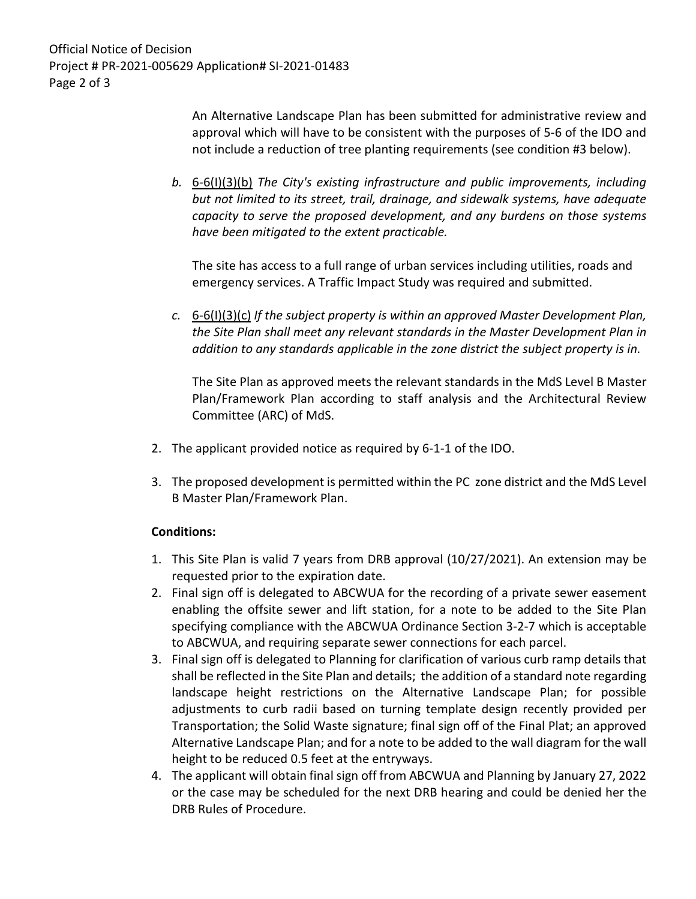Official Notice of Decision Project # PR-2021-005629 Application# SI-2021-01483 Page 2 of 3

> An Alternative Landscape Plan has been submitted for administrative review and approval which will have to be consistent with the purposes of 5-6 of the IDO and not include a reduction of tree planting requirements (see condition #3 below).

*b.* 6-6(I)(3)(b) *The City's existing infrastructure and public improvements, including but not limited to its street, trail, drainage, and sidewalk systems, have adequate capacity to serve the proposed development, and any burdens on those systems have been mitigated to the extent practicable.* 

The site has access to a full range of urban services including utilities, roads and emergency services. A Traffic Impact Study was required and submitted.

*c.* 6-6(I)(3)(c) *If the subject property is within an approved Master Development Plan, the Site Plan shall meet any relevant standards in the Master Development Plan in addition to any standards applicable in the zone district the subject property is in.*

The Site Plan as approved meets the relevant standards in the MdS Level B Master Plan/Framework Plan according to staff analysis and the Architectural Review Committee (ARC) of MdS.

- 2. The applicant provided notice as required by 6-1-1 of the IDO.
- 3. The proposed development is permitted within the PC zone district and the MdS Level B Master Plan/Framework Plan.

## **Conditions:**

- 1. This Site Plan is valid 7 years from DRB approval (10/27/2021). An extension may be requested prior to the expiration date.
- 2. Final sign off is delegated to ABCWUA for the recording of a private sewer easement enabling the offsite sewer and lift station, for a note to be added to the Site Plan specifying compliance with the ABCWUA Ordinance Section 3-2-7 which is acceptable to ABCWUA, and requiring separate sewer connections for each parcel.
- 3. Final sign off is delegated to Planning for clarification of various curb ramp details that shall be reflected in the Site Plan and details; the addition of a standard note regarding landscape height restrictions on the Alternative Landscape Plan; for possible adjustments to curb radii based on turning template design recently provided per Transportation; the Solid Waste signature; final sign off of the Final Plat; an approved Alternative Landscape Plan; and for a note to be added to the wall diagram for the wall height to be reduced 0.5 feet at the entryways.
- 4. The applicant will obtain final sign off from ABCWUA and Planning by January 27, 2022 or the case may be scheduled for the next DRB hearing and could be denied her the DRB Rules of Procedure.